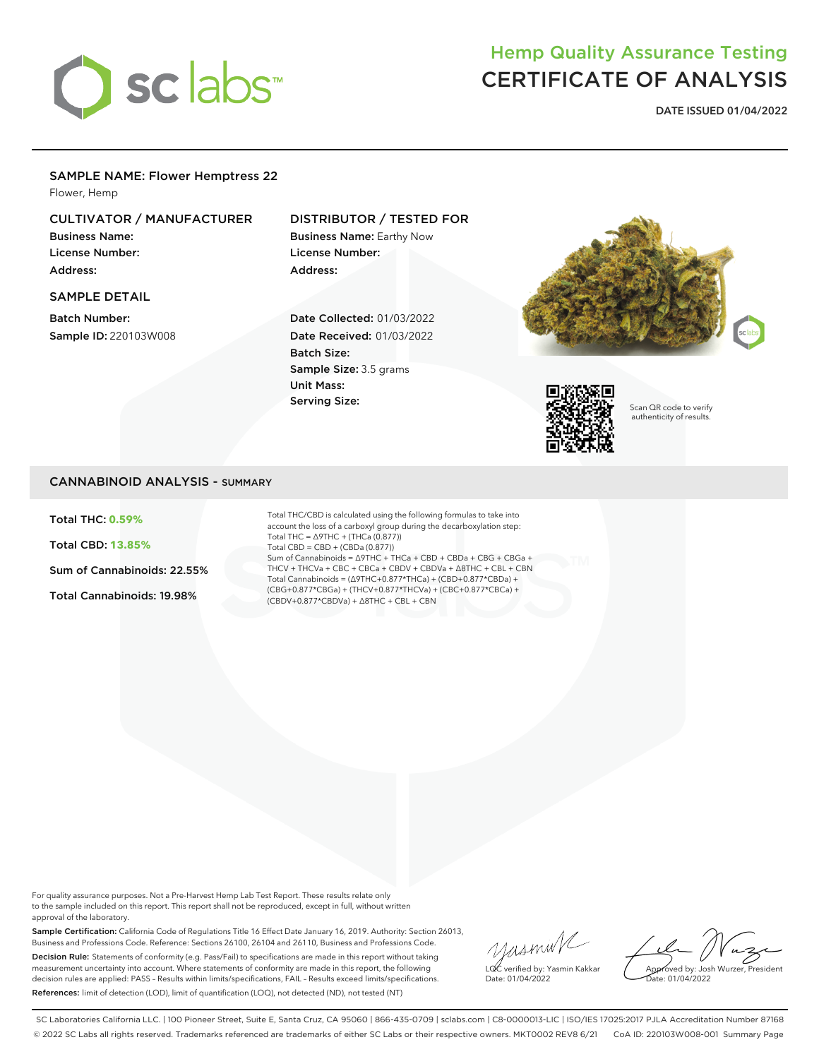

# Hemp Quality Assurance Testing CERTIFICATE OF ANALYSIS

**DATE ISSUED 01/04/2022**

### SAMPLE NAME: Flower Hemptress 22

Flower, Hemp

# CULTIVATOR / MANUFACTURER

Business Name: License Number: Address:

#### SAMPLE DETAIL

Batch Number: Sample ID: 220103W008

# DISTRIBUTOR / TESTED FOR

Business Name: Earthy Now License Number: Address:

Date Collected: 01/03/2022 Date Received: 01/03/2022 Batch Size: Sample Size: 3.5 grams Unit Mass: Serving Size:





Scan QR code to verify authenticity of results.

## CANNABINOID ANALYSIS - SUMMARY

Total THC: **0.59%**

Total CBD: **13.85%**

Sum of Cannabinoids: 22.55%

Total Cannabinoids: 19.98%

Total THC/CBD is calculated using the following formulas to take into account the loss of a carboxyl group during the decarboxylation step: Total THC = ∆9THC + (THCa (0.877)) Total CBD = CBD + (CBDa (0.877)) Sum of Cannabinoids = ∆9THC + THCa + CBD + CBDa + CBG + CBGa + THCV + THCVa + CBC + CBCa + CBDV + CBDVa + ∆8THC + CBL + CBN Total Cannabinoids = (∆9THC+0.877\*THCa) + (CBD+0.877\*CBDa) + (CBG+0.877\*CBGa) + (THCV+0.877\*THCVa) + (CBC+0.877\*CBCa) + (CBDV+0.877\*CBDVa) + ∆8THC + CBL + CBN

For quality assurance purposes. Not a Pre-Harvest Hemp Lab Test Report. These results relate only to the sample included on this report. This report shall not be reproduced, except in full, without written approval of the laboratory.

Sample Certification: California Code of Regulations Title 16 Effect Date January 16, 2019. Authority: Section 26013, Business and Professions Code. Reference: Sections 26100, 26104 and 26110, Business and Professions Code. Decision Rule: Statements of conformity (e.g. Pass/Fail) to specifications are made in this report without taking measurement uncertainty into account. Where statements of conformity are made in this report, the following decision rules are applied: PASS – Results within limits/specifications, FAIL – Results exceed limits/specifications. References: limit of detection (LOD), limit of quantification (LOQ), not detected (ND), not tested (NT)

yusmink LQC verified by: Yasmin Kakkar Date: 01/04/2022

Approved by: Josh Wurzer, President Date: 01/04/2022

SC Laboratories California LLC. | 100 Pioneer Street, Suite E, Santa Cruz, CA 95060 | 866-435-0709 | sclabs.com | C8-0000013-LIC | ISO/IES 17025:2017 PJLA Accreditation Number 87168 © 2022 SC Labs all rights reserved. Trademarks referenced are trademarks of either SC Labs or their respective owners. MKT0002 REV8 6/21 CoA ID: 220103W008-001 Summary Page